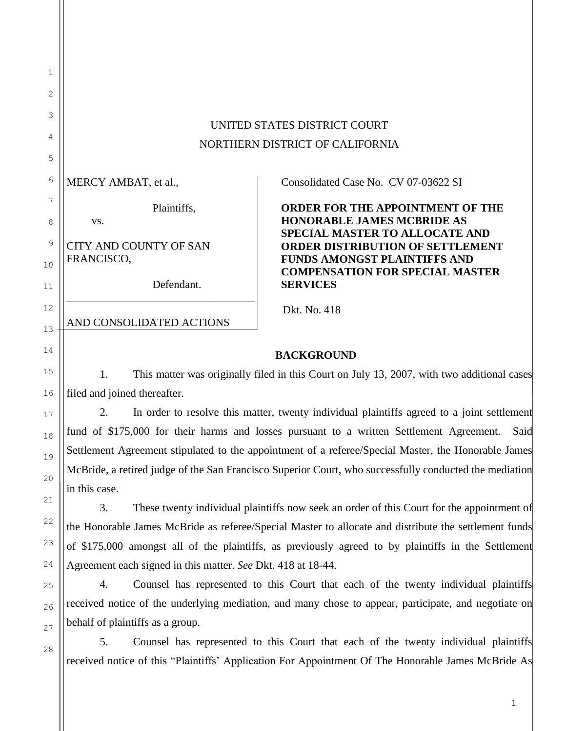| UNITED STATES DISTRICT COURT    |
|---------------------------------|
| NORTHERN DISTRICT OF CALIFORNIA |

MERCY AMBAT, et al.,

vs.

Plaintiffs,

CITY AND COUNTY OF SAN FRANCISCO,

Defendant.

\_\_\_\_\_\_\_\_\_\_\_\_\_\_\_\_\_\_\_\_\_\_\_\_\_\_\_\_\_\_\_\_\_\_

AND CONSOLIDATED ACTIONS

Consolidated Case No. CV 07-03622 SI

**ORDER FOR THE APPOINTMENT OF THE HONORABLE JAMES MCBRIDE AS SPECIAL MASTER TO ALLOCATE AND ORDER DISTRIBUTION OF SETTLEMENT FUNDS AMONGST PLAINTIFFS AND COMPENSATION FOR SPECIAL MASTER SERVICES**

Dkt. No. 418

## **BACKGROUND**

1. This matter was originally filed in this Court on July 13, 2007, with two additional cases filed and joined thereafter.

2. In order to resolve this matter, twenty individual plaintiffs agreed to a joint settlement fund of \$175,000 for their harms and losses pursuant to a written Settlement Agreement. Said Settlement Agreement stipulated to the appointment of a referee/Special Master, the Honorable James McBride, a retired judge of the San Francisco Superior Court, who successfully conducted the mediation in this case.

3. These twenty individual plaintiffs now seek an order of this Court for the appointment of the Honorable James McBride as referee/Special Master to allocate and distribute the settlement funds of \$175,000 amongst all of the plaintiffs, as previously agreed to by plaintiffs in the Settlement Agreement each signed in this matter. *See* Dkt. 418 at 18-44.

4. Counsel has represented to this Court that each of the twenty individual plaintiffs received notice of the underlying mediation, and many chose to appear, participate, and negotiate on behalf of plaintiffs as a group.

5. Counsel has represented to this Court that each of the twenty individual plaintiffs received notice of this "Plaintiffs' Application For Appointment Of The Honorable James McBride As

1

2

3

4

5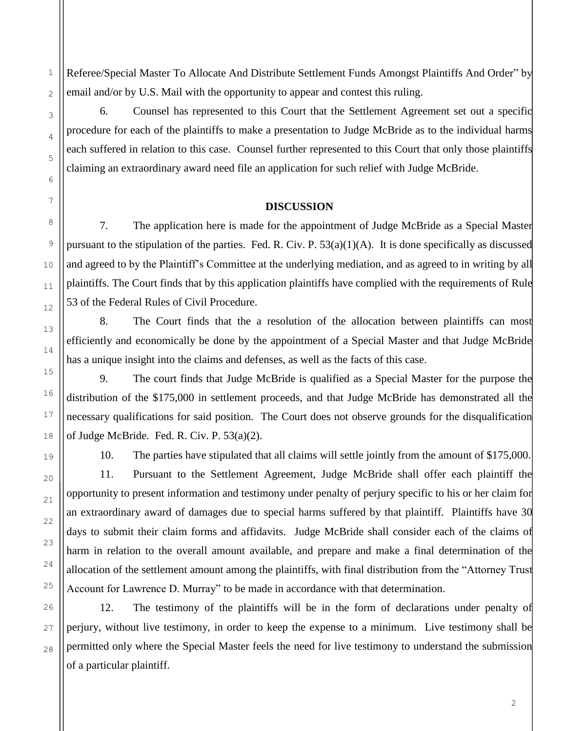Referee/Special Master To Allocate And Distribute Settlement Funds Amongst Plaintiffs And Order" by email and/or by U.S. Mail with the opportunity to appear and contest this ruling.

6. Counsel has represented to this Court that the Settlement Agreement set out a specific procedure for each of the plaintiffs to make a presentation to Judge McBride as to the individual harms each suffered in relation to this case. Counsel further represented to this Court that only those plaintiffs claiming an extraordinary award need file an application for such relief with Judge McBride.

## **DISCUSSION**

7. The application here is made for the appointment of Judge McBride as a Special Master pursuant to the stipulation of the parties. Fed. R. Civ. P. 53(a)(1)(A). It is done specifically as discussed and agreed to by the Plaintiff's Committee at the underlying mediation, and as agreed to in writing by all plaintiffs. The Court finds that by this application plaintiffs have complied with the requirements of Rule 53 of the Federal Rules of Civil Procedure.

8. The Court finds that the a resolution of the allocation between plaintiffs can most efficiently and economically be done by the appointment of a Special Master and that Judge McBride has a unique insight into the claims and defenses, as well as the facts of this case.

9. The court finds that Judge McBride is qualified as a Special Master for the purpose the distribution of the \$175,000 in settlement proceeds, and that Judge McBride has demonstrated all the necessary qualifications for said position. The Court does not observe grounds for the disqualification of Judge McBride. Fed. R. Civ. P. 53(a)(2).

10. The parties have stipulated that all claims will settle jointly from the amount of \$175,000. 11. Pursuant to the Settlement Agreement, Judge McBride shall offer each plaintiff the opportunity to present information and testimony under penalty of perjury specific to his or her claim for an extraordinary award of damages due to special harms suffered by that plaintiff. Plaintiffs have 30 days to submit their claim forms and affidavits. Judge McBride shall consider each of the claims of harm in relation to the overall amount available, and prepare and make a final determination of the allocation of the settlement amount among the plaintiffs, with final distribution from the "Attorney Trust Account for Lawrence D. Murray" to be made in accordance with that determination.

12. The testimony of the plaintiffs will be in the form of declarations under penalty of perjury, without live testimony, in order to keep the expense to a minimum. Live testimony shall be permitted only where the Special Master feels the need for live testimony to understand the submission of a particular plaintiff.